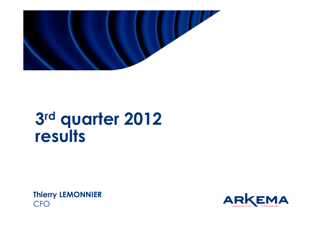

# **3rd quarter 2012results**

**Thierry LEMONNIERCFO** 

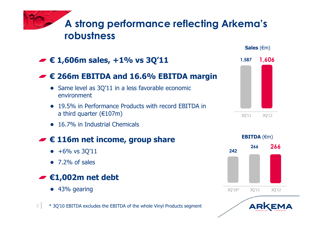# **A strong performance reflecting Arkema'srobustness**



# **€ 266m EBITDA and 16.6% EBITDA margin**

- Same level as 3Q'11 in a less favorable economic environment
- 19.5% in Performance Products with record EBITDA in a third quarter  $(\text{\textsterling}107m)$
- 16.7% in Industrial Chemicals

## **€ 116m net income, group share**

- $\bullet$  +6% vs 3Q'11
- $\bullet$  7.2% of sales

# **€1,002m net debt**

● 43% gearing



# **1,587 1,606**3Q'11 3Q'12

**Sales** (€m)

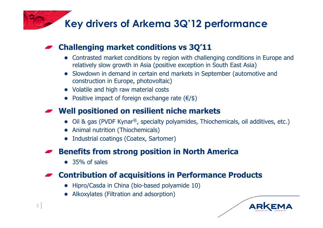**Key drivers of Arkema 3Q'12 performance**

# **Challenging market conditions vs 3Q'11**

- Contrasted market conditions by region with challenging conditions in Europe and relatively slow growth in Asia (positive exception in South East Asia)
- Slowdown in demand in certain end markets in September (automotive and construction in Europe, photovoltaic)
- Volatile and high raw material costs
- Positive impact of foreign exchange rate  $(\epsilon/\$

## **Well positioned on resilient niche markets**

- Oil & gas (PVDF Kynar®, specialty polyamides, Thiochemicals, oil additives, etc.)
- Animal nutrition (Thiochemicals)
- Industrial coatings (Coatex, Sartomer)

#### **Benefits from strong position in North America**

● 35% of sales

# **Contribution of acquisitions in Performance Products**

- Hipro/Casda in China (bio-based polyamide 10)
- Alkoxylates (Filtration and adsorption)

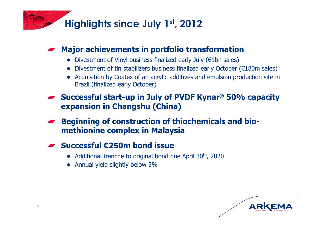

# **Major achievements in portfolio transformation**

- Divestment of Vinyl business finalized early July (€1bn sales)
- Divestment of tin stabilizers business finalized early October (€180m sales)
- Acquisition by Coatex of an acrylic additives and emulsion production site in<br>Rrazil (finalized early October) Brazil (finalized early October)
- **Successful start-up in July of PVDF Kynar® 50% capacity expansion in Changshu (China)**
- **Beginning of construction of thiochemicals and biomethionine complex in Malaysia**

## **Successful €250m bond issue**

- Additional tranche to original bond due April 30th, <sup>2020</sup>
- Annual yield slightly below 3%

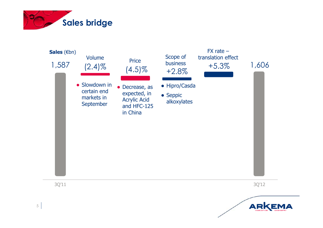

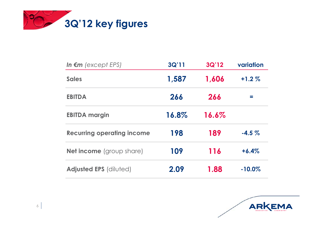

| In $\epsilon$ m (except EPS)      | 3Q'11 | 3Q'12 | variation |
|-----------------------------------|-------|-------|-----------|
| <b>Sales</b>                      | 1,587 | 1,606 | $+1.2\%$  |
| <b>EBITDA</b>                     | 266   | 266   | $\equiv$  |
| <b>EBITDA margin</b>              | 16.8% | 16.6% |           |
| <b>Recurring operating income</b> | 198   | 189   | $-4.5\%$  |
| <b>Net income</b> (group share)   | 109   | 116   | $+6.4%$   |
| Adjusted EPS (diluted)            | 2.09  | 1.88  | $-10.0\%$ |

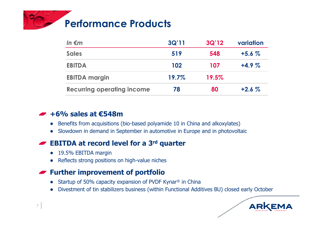

| In $\epsilon$ m                   | 3Q'11 | 3Q'12 | variation |
|-----------------------------------|-------|-------|-----------|
| <b>Sales</b>                      | 519   | 548   | $+5.6%$   |
| <b>EBITDA</b>                     | 102   | 107   | $+4.9%$   |
| <b>EBITDA margin</b>              | 19.7% | 19.5% |           |
| <b>Recurring operating income</b> | 78    | 80    | $+2.6%$   |

#### **+6% sales at €548m**

- Benefits from acquisitions (bio-based polyamide 10 in China and alkoxylates)
- Slowdown in demand in September in automotive in Europe and in photovoltaic

#### **EBITDA at record level for a 3rd quarter**

- ●19.5% EBITDA margin
- Reflects strong positions on high-value niches

#### **Further improvement of portfolio**

- Startup of 50% capacity expansion of PVDF Kynar<sup>®</sup> in China
- ●Divestment of tin stabilizers business (within Functional Additives BU) closed early October

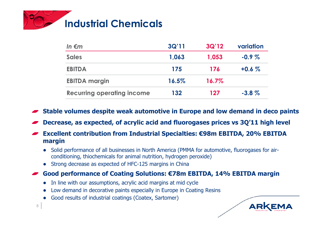

| In $\epsilon$ m                   | 3Q'11 | 3Q'12    | variation |
|-----------------------------------|-------|----------|-----------|
| <b>Sales</b>                      | 1,063 | 1,053    | $-0.9\%$  |
| <b>EBITDA</b>                     | 175   | 176      | $+0.6\%$  |
| <b>EBITDA margin</b>              | 16.5% | $16.7\%$ |           |
| <b>Recurring operating income</b> | 132   | 127      | $-3.8 \%$ |

- **Stable volumes despite weak automotive in Europe and low demand in deco paints**
- **Decrease, as expected, of acrylic acid and fluorogases prices vs 3Q'11 high level**
- **Excellent contribution from Industrial Specialties: €98m EBITDA, 20% EBITDA margin**
	- Solid performance of all businesses in North America (PMMA for automotive, fluorogases for air-<br>conditioning thiochemicals for animal nutrition, hydrogen peroxide) conditioning, thiochemicals for animal nutrition, hydrogen peroxide)
	- Strong decrease as expected of HFC-125 margins in China
- **Good performance of Coating Solutions: €78m EBITDA, 14% EBITDA margin**
	- In line with our assumptions, acrylic acid margins at mid cycle
	- ●Low demand in decorative paints especially in Europe in Coating Resins
	- ●Good results of industrial coatings (Coatex, Sartomer)

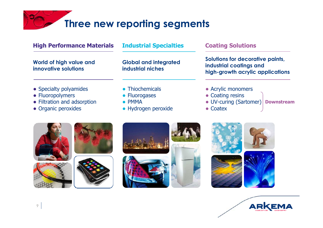

| <b>High Performance Materials</b>                                                                | <b>Industrial Specialties</b>                                             | <b>Coating Solutions</b><br>Solutions for decorative paints,<br>industrial coatings and<br>high-growth acrylic applications |  |
|--------------------------------------------------------------------------------------------------|---------------------------------------------------------------------------|-----------------------------------------------------------------------------------------------------------------------------|--|
| World of high value and<br>innovative solutions                                                  | <b>Global and integrated</b><br>industrial niches                         |                                                                                                                             |  |
| • Specialty polyamides<br>• Fluoropolymers<br>• Filtration and adsorption<br>• Organic peroxides | • Thiochemicals<br>• Fluorogases<br>$\bullet$ PMMA<br>• Hydrogen peroxide | • Acrylic monomers<br>• Coating resins<br>• UV-curing (Sartomer)   Downstream<br>$\bullet$ Coatex                           |  |
|                                                                                                  |                                                                           |                                                                                                                             |  |









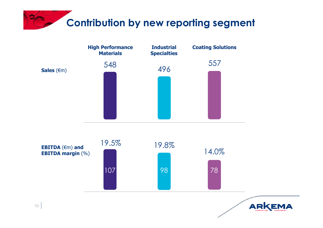# **Contribution by new reporting segment**

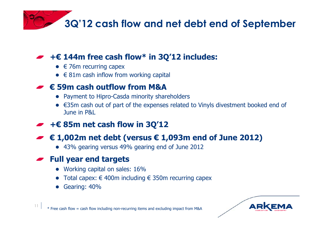**3Q'12 cash flow and net debt end of September**

# **+€ 144m free cash flow\* in 3Q'12 includes:**

- $\bullet \in$  76m recurring capex<br> $\bullet \in$  81m cash inflaw from
- $\bullet \in 81$ m cash inflow from working capital

# **€ 59m cash outflow from M&A**

- Payment to Hipro-Casda minority shareholders
- $\bullet$  €35m cash out of part of the expenses related to Vinyls divestment booked end of  $\overline{a}$ June in P&L
- **+€ 85m net cash flow in 3Q'12**

# **€ 1,002m net debt (versus € 1,093m end of June 2012)**

● 43% gearing versus 49% gearing end of June 2012

## **Full year end targets**

- Working capital on sales: 16%
- Total capex:  $€$  400m including  $€$  350m recurring capex
- Gearing: 40%



\* Free cash flow = cash flow including non-recurring items and excluding impact from M&A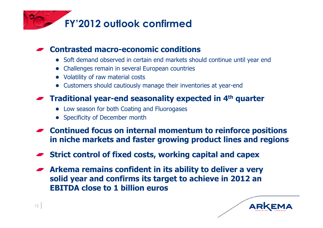

# **Contrasted macro-economic conditions**

- Soft demand observed in certain end markets should continue until year end
- ●Challenges remain in several European countries
- Volatility of raw material costs
- Customers should cautiously manage their inventories at year-end

# **Traditional year-end seasonality expected in 4th quarter**

- Low season for both Coating and Fluorogases
- Specificity of December month
- **Continued focus on internal momentum to reinforce positions in niche markets and faster growing product lines and regions**
- **Strict control of fixed costs, working capital and capex**
- **Arkema remains confident in its ability to deliver a very solid year and confirms its target to achieve in 2012 an EBITDA close to 1 billion euros**